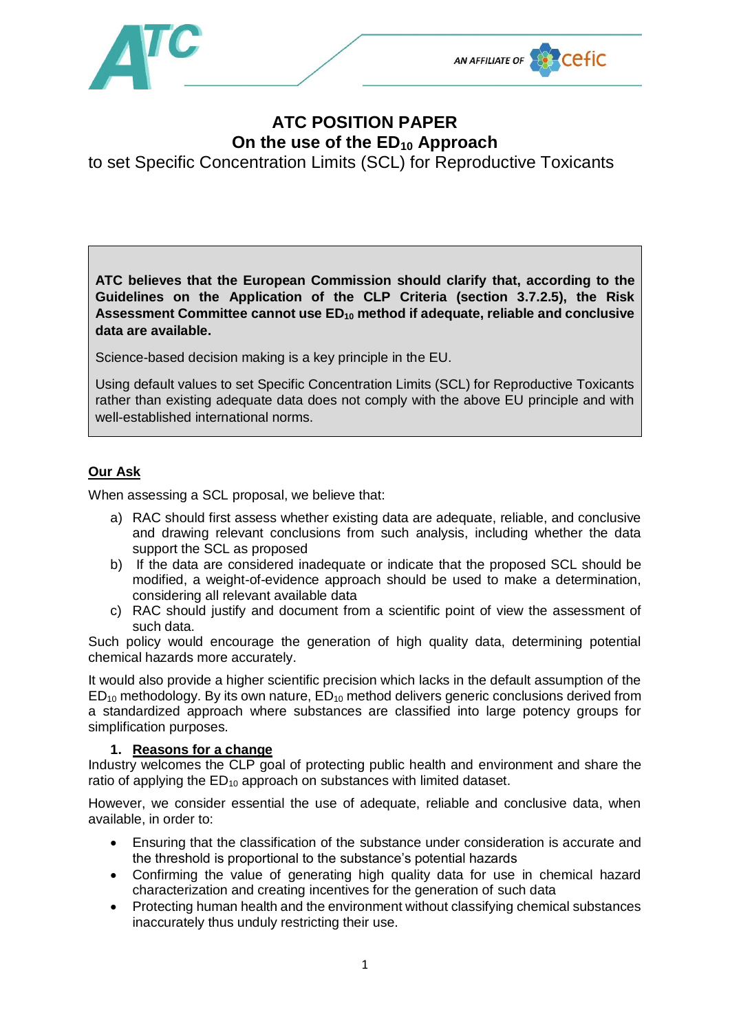



## **ATC POSITION PAPER On the use of the ED<sup>10</sup> Approach**

to set Specific Concentration Limits (SCL) for Reproductive Toxicants

**ATC believes that the European Commission should clarify that, according to the Guidelines on the Application of the CLP Criteria (section 3.7.2.5), the Risk Assessment Committee cannot use ED<sup>10</sup> method if adequate, reliable and conclusive data are available.**

Science-based decision making is a key principle in the EU.

Using default values to set Specific Concentration Limits (SCL) for Reproductive Toxicants rather than existing adequate data does not comply with the above EU principle and with well-established international norms.

## **Our Ask**

When assessing a SCL proposal, we believe that:

- a) RAC should first assess whether existing data are adequate, reliable, and conclusive and drawing relevant conclusions from such analysis, including whether the data support the SCL as proposed
- b) If the data are considered inadequate or indicate that the proposed SCL should be modified, a weight-of-evidence approach should be used to make a determination, considering all relevant available data
- c) RAC should justify and document from a scientific point of view the assessment of such data.

Such policy would encourage the generation of high quality data, determining potential chemical hazards more accurately.

It would also provide a higher scientific precision which lacks in the default assumption of the  $ED_{10}$  methodology. By its own nature,  $ED_{10}$  method delivers generic conclusions derived from a standardized approach where substances are classified into large potency groups for simplification purposes.

## **1. Reasons for a change**

Industry welcomes the CLP goal of protecting public health and environment and share the ratio of applying the  $ED_{10}$  approach on substances with limited dataset.

However, we consider essential the use of adequate, reliable and conclusive data, when available, in order to:

- Ensuring that the classification of the substance under consideration is accurate and the threshold is proportional to the substance's potential hazards
- Confirming the value of generating high quality data for use in chemical hazard characterization and creating incentives for the generation of such data
- Protecting human health and the environment without classifying chemical substances inaccurately thus unduly restricting their use.